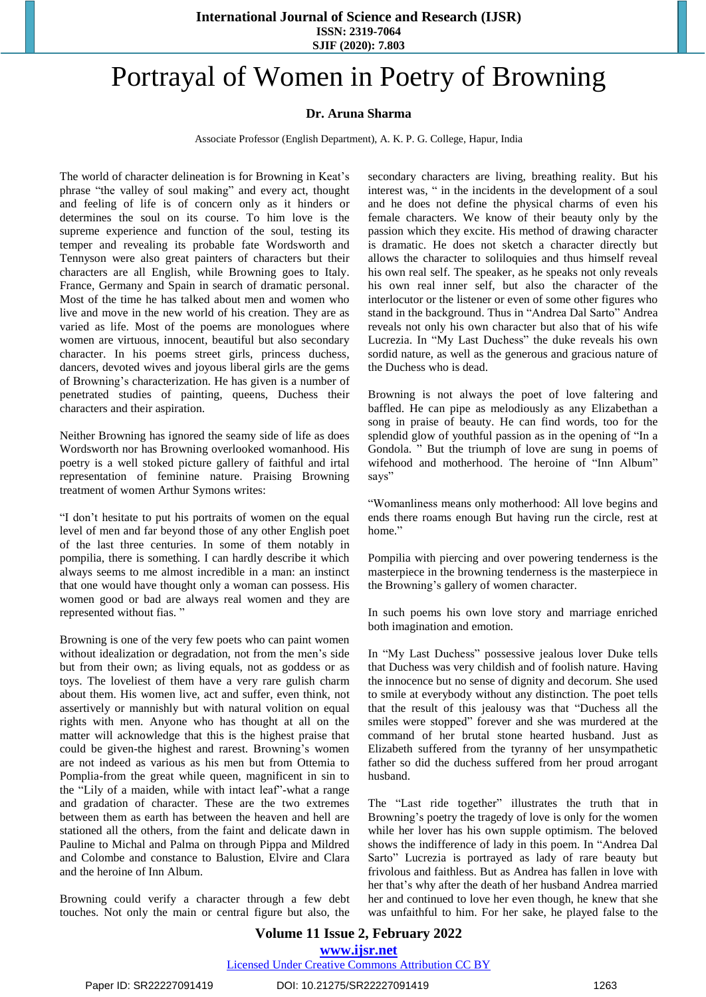#### **International Journal of Science and Research (IJSR) ISSN: 2319-7064 SJIF (2020): 7.803**

# Portrayal of Women in Poetry of Browning

### **Dr. Aruna Sharma**

Associate Professor (English Department), A. K. P. G. College, Hapur, India

The world of character delineation is for Browning in Keat's phrase "the valley of soul making" and every act, thought and feeling of life is of concern only as it hinders or determines the soul on its course. To him love is the supreme experience and function of the soul, testing its temper and revealing its probable fate Wordsworth and Tennyson were also great painters of characters but their characters are all English, while Browning goes to Italy. France, Germany and Spain in search of dramatic personal. Most of the time he has talked about men and women who live and move in the new world of his creation. They are as varied as life. Most of the poems are monologues where women are virtuous, innocent, beautiful but also secondary character. In his poems street girls, princess duchess, dancers, devoted wives and joyous liberal girls are the gems of Browning's characterization. He has given is a number of penetrated studies of painting, queens, Duchess their characters and their aspiration.

Neither Browning has ignored the seamy side of life as does Wordsworth nor has Browning overlooked womanhood. His poetry is a well stoked picture gallery of faithful and irtal representation of feminine nature. Praising Browning treatment of women Arthur Symons writes:

"I don't hesitate to put his portraits of women on the equal level of men and far beyond those of any other English poet of the last three centuries. In some of them notably in pompilia, there is something. I can hardly describe it which always seems to me almost incredible in a man: an instinct that one would have thought only a woman can possess. His women good or bad are always real women and they are represented without fias. "

Browning is one of the very few poets who can paint women without idealization or degradation, not from the men's side but from their own; as living equals, not as goddess or as toys. The loveliest of them have a very rare gulish charm about them. His women live, act and suffer, even think, not assertively or mannishly but with natural volition on equal rights with men. Anyone who has thought at all on the matter will acknowledge that this is the highest praise that could be given-the highest and rarest. Browning's women are not indeed as various as his men but from Ottemia to Pomplia-from the great while queen, magnificent in sin to the "Lily of a maiden, while with intact leaf"-what a range and gradation of character. These are the two extremes between them as earth has between the heaven and hell are stationed all the others, from the faint and delicate dawn in Pauline to Michal and Palma on through Pippa and Mildred and Colombe and constance to Balustion, Elvire and Clara and the heroine of Inn Album.

Browning could verify a character through a few debt touches. Not only the main or central figure but also, the secondary characters are living, breathing reality. But his interest was, " in the incidents in the development of a soul and he does not define the physical charms of even his female characters. We know of their beauty only by the passion which they excite. His method of drawing character is dramatic. He does not sketch a character directly but allows the character to soliloquies and thus himself reveal his own real self. The speaker, as he speaks not only reveals his own real inner self, but also the character of the interlocutor or the listener or even of some other figures who stand in the background. Thus in "Andrea Dal Sarto" Andrea reveals not only his own character but also that of his wife Lucrezia. In "My Last Duchess" the duke reveals his own sordid nature, as well as the generous and gracious nature of the Duchess who is dead.

Browning is not always the poet of love faltering and baffled. He can pipe as melodiously as any Elizabethan a song in praise of beauty. He can find words, too for the splendid glow of youthful passion as in the opening of "In a Gondola. " But the triumph of love are sung in poems of wifehood and motherhood. The heroine of "Inn Album" says"

"Womanliness means only motherhood: All love begins and ends there roams enough But having run the circle, rest at home."

Pompilia with piercing and over powering tenderness is the masterpiece in the browning tenderness is the masterpiece in the Browning's gallery of women character.

In such poems his own love story and marriage enriched both imagination and emotion.

In "My Last Duchess" possessive jealous lover Duke tells that Duchess was very childish and of foolish nature. Having the innocence but no sense of dignity and decorum. She used to smile at everybody without any distinction. The poet tells that the result of this jealousy was that "Duchess all the smiles were stopped" forever and she was murdered at the command of her brutal stone hearted husband. Just as Elizabeth suffered from the tyranny of her unsympathetic father so did the duchess suffered from her proud arrogant husband.

The "Last ride together" illustrates the truth that in Browning's poetry the tragedy of love is only for the women while her lover has his own supple optimism. The beloved shows the indifference of lady in this poem. In "Andrea Dal Sarto" Lucrezia is portrayed as lady of rare beauty but frivolous and faithless. But as Andrea has fallen in love with her that's why after the death of her husband Andrea married her and continued to love her even though, he knew that she was unfaithful to him. For her sake, he played false to the

## **Volume 11 Issue 2, February 2022 www.ijsr.net**

Licensed Under Creative Commons Attribution CC BY